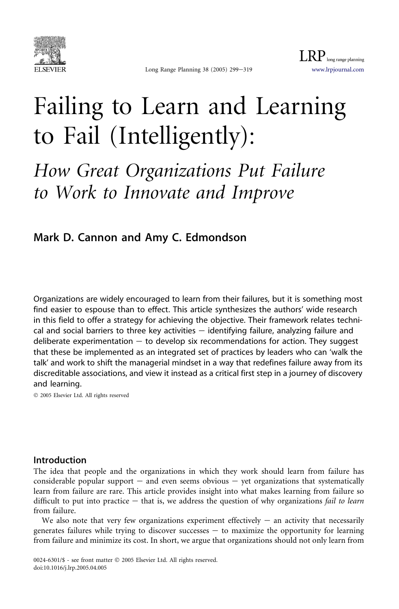

# Failing to Learn and Learning to Fail (Intelligently):

How Great Organizations Put Failure to Work to Innovate and Improve

Mark D. Cannon and Amy C. Edmondson

Organizations are widely encouraged to learn from their failures, but it is something most find easier to espouse than to effect. This article synthesizes the authors' wide research in this field to offer a strategy for achieving the objective. Their framework relates technical and social barriers to three key activities  $-$  identifying failure, analyzing failure and deliberate experimentation  $-$  to develop six recommendations for action. They suggest that these be implemented as an integrated set of practices by leaders who can 'walk the talk' and work to shift the managerial mindset in a way that redefines failure away from its discreditable associations, and view it instead as a critical first step in a journey of discovery and learning.

2005 Elsevier Ltd. All rights reserved

#### Introduction

The idea that people and the organizations in which they work should learn from failure has considerable popular support  $-$  and even seems obvious  $-$  yet organizations that systematically learn from failure are rare. This article provides insight into what makes learning from failure so difficult to put into practice  $-$  that is, we address the question of why organizations *fail to learn* from failure.

We also note that very few organizations experiment effectively  $-$  an activity that necessarily generates failures while trying to discover successes  $-$  to maximize the opportunity for learning from failure and minimize its cost. In short, we argue that organizations should not only learn from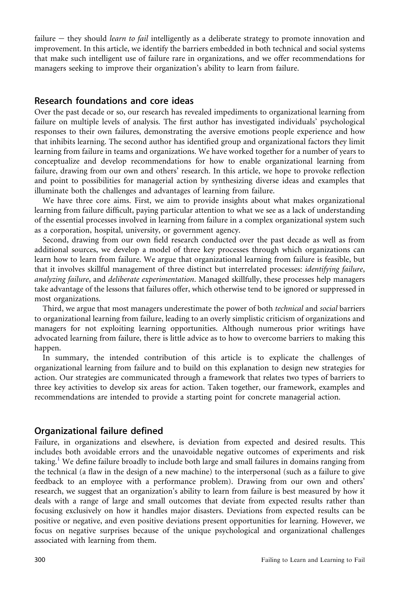failure  $-$  they should *learn to fail* intelligently as a deliberate strategy to promote innovation and improvement. In this article, we identify the barriers embedded in both technical and social systems that make such intelligent use of failure rare in organizations, and we offer recommendations for managers seeking to improve their organization's ability to learn from failure.

# Research foundations and core ideas

Over the past decade or so, our research has revealed impediments to organizational learning from failure on multiple levels of analysis. The first author has investigated individuals' psychological responses to their own failures, demonstrating the aversive emotions people experience and how that inhibits learning. The second author has identified group and organizational factors they limit learning from failure in teams and organizations. We have worked together for a number of years to conceptualize and develop recommendations for how to enable organizational learning from failure, drawing from our own and others' research. In this article, we hope to provoke reflection and point to possibilities for managerial action by synthesizing diverse ideas and examples that illuminate both the challenges and advantages of learning from failure.

We have three core aims. First, we aim to provide insights about what makes organizational learning from failure difficult, paying particular attention to what we see as a lack of understanding of the essential processes involved in learning from failure in a complex organizational system such as a corporation, hospital, university, or government agency.

Second, drawing from our own field research conducted over the past decade as well as from additional sources, we develop a model of three key processes through which organizations can learn how to learn from failure. We argue that organizational learning from failure is feasible, but that it involves skillful management of three distinct but interrelated processes: identifying failure, analyzing failure, and deliberate experimentation. Managed skillfully, these processes help managers take advantage of the lessons that failures offer, which otherwise tend to be ignored or suppressed in most organizations.

Third, we argue that most managers underestimate the power of both technical and social barriers to organizational learning from failure, leading to an overly simplistic criticism of organizations and managers for not exploiting learning opportunities. Although numerous prior writings have advocated learning from failure, there is little advice as to how to overcome barriers to making this happen.

In summary, the intended contribution of this article is to explicate the challenges of organizational learning from failure and to build on this explanation to design new strategies for action. Our strategies are communicated through a framework that relates two types of barriers to three key activities to develop six areas for action. Taken together, our framework, examples and recommendations are intended to provide a starting point for concrete managerial action.

# Organizational failure defined

Failure, in organizations and elsewhere, is deviation from expected and desired results. This includes both avoidable errors and the unavoidable negative outcomes of experiments and risk taking.<sup>[1](#page-18-0)</sup> We define failure broadly to include both large and small failures in domains ranging from the technical (a flaw in the design of a new machine) to the interpersonal (such as a failure to give feedback to an employee with a performance problem). Drawing from our own and others' research, we suggest that an organization's ability to learn from failure is best measured by how it deals with a range of large and small outcomes that deviate from expected results rather than focusing exclusively on how it handles major disasters. Deviations from expected results can be positive or negative, and even positive deviations present opportunities for learning. However, we focus on negative surprises because of the unique psychological and organizational challenges associated with learning from them.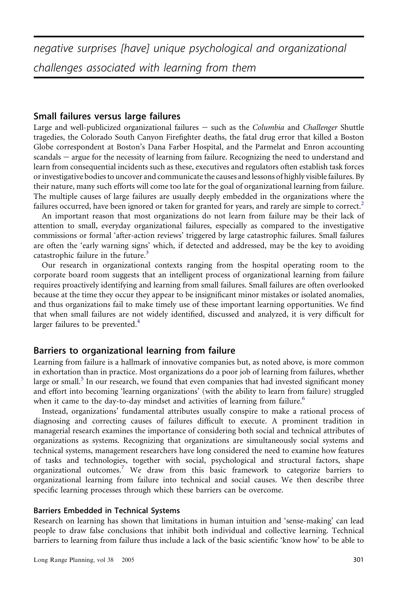# Small failures versus large failures

Large and well-publicized organizational failures  $-$  such as the *Columbia* and *Challenger* Shuttle tragedies, the Colorado South Canyon Firefighter deaths, the fatal drug error that killed a Boston Globe correspondent at Boston's Dana Farber Hospital, and the Parmelat and Enron accounting scandals – argue for the necessity of learning from failure. Recognizing the need to understand and learn from consequential incidents such as these, executives and regulators often establish task forces or investigative bodies to uncover and communicate the causes and lessons of highly visible failures. By their nature, many such efforts will come too late for the goal of organizational learning from failure. The multiple causes of large failures are usually deeply embedded in the organizations where the failures occurred, have been ignored or taken for granted for years, and rarely are simple to correct.<sup>2</sup>

An important reason that most organizations do not learn from failure may be their lack of attention to small, everyday organizational failures, especially as compared to the investigative commissions or formal 'after-action reviews' triggered by large catastrophic failures. Small failures are often the 'early warning signs' which, if detected and addressed, may be the key to avoiding catastrophic failure in the future.<sup>[3](#page-19-0)</sup>

Our research in organizational contexts ranging from the hospital operating room to the corporate board room suggests that an intelligent process of organizational learning from failure requires proactively identifying and learning from small failures. Small failures are often overlooked because at the time they occur they appear to be insignificant minor mistakes or isolated anomalies, and thus organizations fail to make timely use of these important learning opportunities. We find that when small failures are not widely identified, discussed and analyzed, it is very difficult for larger failures to be prevented.<sup>[4](#page-19-0)</sup>

# Barriers to organizational learning from failure

Learning from failure is a hallmark of innovative companies but, as noted above, is more common in exhortation than in practice. Most organizations do a poor job of learning from failures, whether large or small. $<sup>5</sup>$  $<sup>5</sup>$  $<sup>5</sup>$  In our research, we found that even companies that had invested significant money</sup> and effort into becoming 'learning organizations' (with the ability to learn from failure) struggled when it came to the day-to-day mindset and activities of learning from failure.<sup>6</sup>

Instead, organizations' fundamental attributes usually conspire to make a rational process of diagnosing and correcting causes of failures difficult to execute. A prominent tradition in managerial research examines the importance of considering both social and technical attributes of organizations as systems. Recognizing that organizations are simultaneously social systems and technical systems, management researchers have long considered the need to examine how features of tasks and technologies, together with social, psychological and structural factors, shape organizational outcomes.<sup>[7](#page-19-0)</sup> We draw from this basic framework to categorize barriers to organizational learning from failure into technical and social causes. We then describe three specific learning processes through which these barriers can be overcome.

#### Barriers Embedded in Technical Systems

Research on learning has shown that limitations in human intuition and 'sense-making' can lead people to draw false conclusions that inhibit both individual and collective learning. Technical barriers to learning from failure thus include a lack of the basic scientific 'know how' to be able to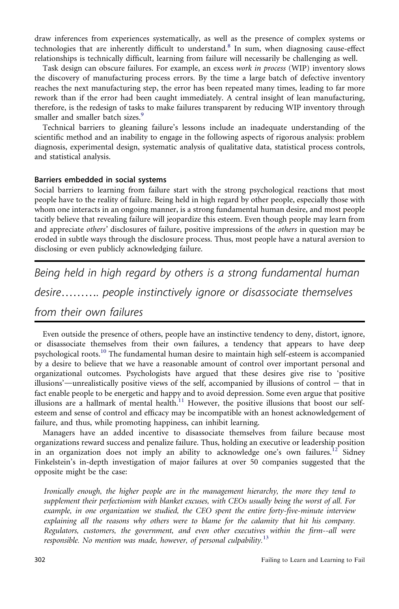draw inferences from experiences systematically, as well as the presence of complex systems or technologies that are inherently difficult to understand.<sup>[8](#page-19-0)</sup> In sum, when diagnosing cause-effect relationships is technically difficult, learning from failure will necessarily be challenging as well.

Task design can obscure failures. For example, an excess work in process (WIP) inventory slows the discovery of manufacturing process errors. By the time a large batch of defective inventory reaches the next manufacturing step, the error has been repeated many times, leading to far more rework than if the error had been caught immediately. A central insight of lean manufacturing, therefore, is the redesign of tasks to make failures transparent by reducing WIP inventory through smaller and smaller batch sizes.<sup>[9](#page-19-0)</sup>

Technical barriers to gleaning failure's lessons include an inadequate understanding of the scientific method and an inability to engage in the following aspects of rigorous analysis: problem diagnosis, experimental design, systematic analysis of qualitative data, statistical process controls, and statistical analysis.

#### Barriers embedded in social systems

Social barriers to learning from failure start with the strong psychological reactions that most people have to the reality of failure. Being held in high regard by other people, especially those with whom one interacts in an ongoing manner, is a strong fundamental human desire, and most people tacitly believe that revealing failure will jeopardize this esteem. Even though people may learn from and appreciate others' disclosures of failure, positive impressions of the others in question may be eroded in subtle ways through the disclosure process. Thus, most people have a natural aversion to disclosing or even publicly acknowledging failure.

Being held in high regard by others is a strong fundamental human desire.......... people instinctively ignore or disassociate themselves from their own failures

Even outside the presence of others, people have an instinctive tendency to deny, distort, ignore, or disassociate themselves from their own failures, a tendency that appears to have deep psychological roots[.10](#page-19-0) The fundamental human desire to maintain high self-esteem is accompanied by a desire to believe that we have a reasonable amount of control over important personal and organizational outcomes. Psychologists have argued that these desires give rise to 'positive illusions'—unrealistically positive views of the self, accompanied by illusions of control  $-$  that in fact enable people to be energetic and happy and to avoid depression. Some even argue that positive illusions are a hallmark of mental health.<sup>[11](#page-19-0)</sup> However, the positive illusions that boost our selfesteem and sense of control and efficacy may be incompatible with an honest acknowledgement of failure, and thus, while promoting happiness, can inhibit learning.

Managers have an added incentive to disassociate themselves from failure because most organizations reward success and penalize failure. Thus, holding an executive or leadership position in an organization does not imply an ability to acknowledge one's own failures.<sup>[12](#page-19-0)</sup> Sidney Finkelstein's in-depth investigation of major failures at over 50 companies suggested that the opposite might be the case:

Ironically enough, the higher people are in the management hierarchy, the more they tend to supplement their perfectionism with blanket excuses, with CEOs usually being the worst of all. For example, in one organization we studied, the CEO spent the entire forty-five-minute interview explaining all the reasons why others were to blame for the calamity that hit his company. Regulators, customers, the government, and even other executives within the firm--all were responsible. No mention was made, however, of personal culpability.<sup>[13](#page-19-0)</sup>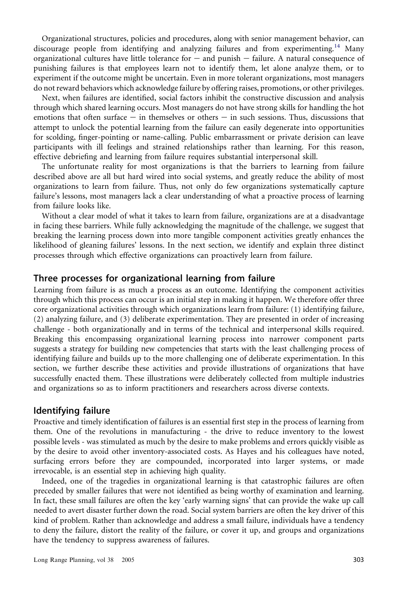Organizational structures, policies and procedures, along with senior management behavior, can discourage people from identifying and analyzing failures and from experimenting.<sup>[14](#page-19-0)</sup> Many organizational cultures have little tolerance for  $-$  and punish  $-$  failure. A natural consequence of punishing failures is that employees learn not to identify them, let alone analyze them, or to experiment if the outcome might be uncertain. Even in more tolerant organizations, most managers do not reward behaviors which acknowledge failure by offering raises, promotions, or other privileges.

Next, when failures are identified, social factors inhibit the constructive discussion and analysis through which shared learning occurs. Most managers do not have strong skills for handling the hot emotions that often surface  $-$  in themselves or others  $-$  in such sessions. Thus, discussions that attempt to unlock the potential learning from the failure can easily degenerate into opportunities for scolding, finger-pointing or name-calling. Public embarrassment or private derision can leave participants with ill feelings and strained relationships rather than learning. For this reason, effective debriefing and learning from failure requires substantial interpersonal skill.

The unfortunate reality for most organizations is that the barriers to learning from failure described above are all but hard wired into social systems, and greatly reduce the ability of most organizations to learn from failure. Thus, not only do few organizations systematically capture failure's lessons, most managers lack a clear understanding of what a proactive process of learning from failure looks like.

Without a clear model of what it takes to learn from failure, organizations are at a disadvantage in facing these barriers. While fully acknowledging the magnitude of the challenge, we suggest that breaking the learning process down into more tangible component activities greatly enhances the likelihood of gleaning failures' lessons. In the next section, we identify and explain three distinct processes through which effective organizations can proactively learn from failure.

#### Three processes for organizational learning from failure

Learning from failure is as much a process as an outcome. Identifying the component activities through which this process can occur is an initial step in making it happen. We therefore offer three core organizational activities through which organizations learn from failure: (1) identifying failure, (2) analyzing failure, and (3) deliberate experimentation. They are presented in order of increasing challenge - both organizationally and in terms of the technical and interpersonal skills required. Breaking this encompassing organizational learning process into narrower component parts suggests a strategy for building new competencies that starts with the least challenging process of identifying failure and builds up to the more challenging one of deliberate experimentation. In this section, we further describe these activities and provide illustrations of organizations that have successfully enacted them. These illustrations were deliberately collected from multiple industries and organizations so as to inform practitioners and researchers across diverse contexts.

## Identifying failure

Proactive and timely identification of failures is an essential first step in the process of learning from them. One of the revolutions in manufacturing - the drive to reduce inventory to the lowest possible levels - was stimulated as much by the desire to make problems and errors quickly visible as by the desire to avoid other inventory-associated costs. As Hayes and his colleagues have noted, surfacing errors before they are compounded, incorporated into larger systems, or made irrevocable, is an essential step in achieving high quality.

Indeed, one of the tragedies in organizational learning is that catastrophic failures are often preceded by smaller failures that were not identified as being worthy of examination and learning. In fact, these small failures are often the key 'early warning signs' that can provide the wake up call needed to avert disaster further down the road. Social system barriers are often the key driver of this kind of problem. Rather than acknowledge and address a small failure, individuals have a tendency to deny the failure, distort the reality of the failure, or cover it up, and groups and organizations have the tendency to suppress awareness of failures.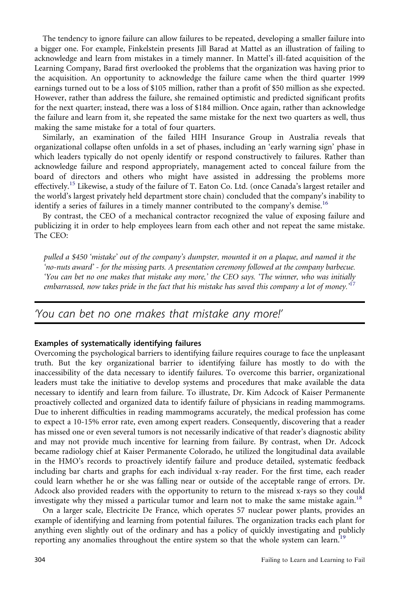The tendency to ignore failure can allow failures to be repeated, developing a smaller failure into a bigger one. For example, Finkelstein presents Jill Barad at Mattel as an illustration of failing to acknowledge and learn from mistakes in a timely manner. In Mattel's ill-fated acquisition of the Learning Company, Barad first overlooked the problems that the organization was having prior to the acquisition. An opportunity to acknowledge the failure came when the third quarter 1999 earnings turned out to be a loss of \$105 million, rather than a profit of \$50 million as she expected. However, rather than address the failure, she remained optimistic and predicted significant profits for the next quarter; instead, there was a loss of \$184 million. Once again, rather than acknowledge the failure and learn from it, she repeated the same mistake for the next two quarters as well, thus making the same mistake for a total of four quarters.

Similarly, an examination of the failed HIH Insurance Group in Australia reveals that organizational collapse often unfolds in a set of phases, including an 'early warning sign' phase in which leaders typically do not openly identify or respond constructively to failures. Rather than acknowledge failure and respond appropriately, management acted to conceal failure from the board of directors and others who might have assisted in addressing the problems more effectively.<sup>[15](#page-19-0)</sup> Likewise, a study of the failure of T. Eaton Co. Ltd. (once Canada's largest retailer and the world's largest privately held department store chain) concluded that the company's inability to identify a series of failures in a timely manner contributed to the company's demise.<sup>16</sup>

By contrast, the CEO of a mechanical contractor recognized the value of exposing failure and publicizing it in order to help employees learn from each other and not repeat the same mistake. The CEO:

pulled a \$450 'mistake' out of the company's dumpster, mounted it on a plaque, and named it the 'no-nuts award' - for the missing parts. A presentation ceremony followed at the company barbecue. 'You can bet no one makes that mistake any more,' the CEO says. 'The winner, who was initially embarrassed, now takes pride in the fact that his mistake has saved this company a lot of money.<sup>'[17](#page-19-0)</sup>

# 'You can bet no one makes that mistake any more!'

#### Examples of systematically identifying failures

Overcoming the psychological barriers to identifying failure requires courage to face the unpleasant truth. But the key organizational barrier to identifying failure has mostly to do with the inaccessibility of the data necessary to identify failures. To overcome this barrier, organizational leaders must take the initiative to develop systems and procedures that make available the data necessary to identify and learn from failure. To illustrate, Dr. Kim Adcock of Kaiser Permanente proactively collected and organized data to identify failure of physicians in reading mammograms. Due to inherent difficulties in reading mammograms accurately, the medical profession has come to expect a 10-15% error rate, even among expert readers. Consequently, discovering that a reader has missed one or even several tumors is not necessarily indicative of that reader's diagnostic ability and may not provide much incentive for learning from failure. By contrast, when Dr. Adcock became radiology chief at Kaiser Permanente Colorado, he utilized the longitudinal data available in the HMO's records to proactively identify failure and produce detailed, systematic feedback including bar charts and graphs for each individual x-ray reader. For the first time, each reader could learn whether he or she was falling near or outside of the acceptable range of errors. Dr. Adcock also provided readers with the opportunity to return to the misread x-rays so they could investigate why they missed a particular tumor and learn not to make the same mistake again.<sup>[18](#page-19-0)</sup>

On a larger scale, Electricite De France, which operates 57 nuclear power plants, provides an example of identifying and learning from potential failures. The organization tracks each plant for anything even slightly out of the ordinary and has a policy of quickly investigating and publicly reporting any anomalies throughout the entire system so that the whole system can learn.<sup>[19](#page-19-0)</sup>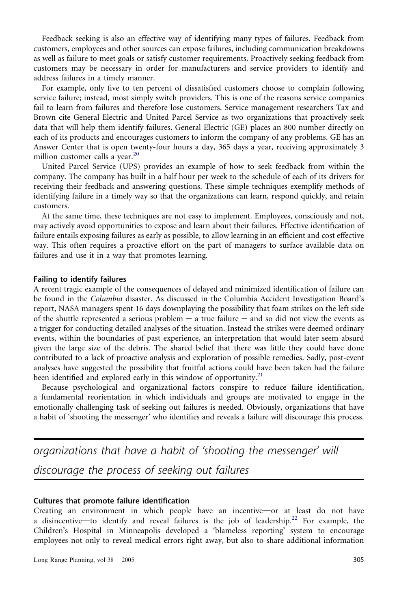Feedback seeking is also an effective way of identifying many types of failures. Feedback from customers, employees and other sources can expose failures, including communication breakdowns as well as failure to meet goals or satisfy customer requirements. Proactively seeking feedback from customers may be necessary in order for manufacturers and service providers to identify and address failures in a timely manner.

For example, only five to ten percent of dissatisfied customers choose to complain following service failure; instead, most simply switch providers. This is one of the reasons service companies fail to learn from failures and therefore lose customers. Service management researchers Tax and Brown cite General Electric and United Parcel Service as two organizations that proactively seek data that will help them identify failures. General Electric (GE) places an 800 number directly on each of its products and encourages customers to inform the company of any problems. GE has an Answer Center that is open twenty-four hours a day, 365 days a year, receiving approximately 3 million customer calls a year. $^{20}$  $^{20}$  $^{20}$ 

United Parcel Service (UPS) provides an example of how to seek feedback from within the company. The company has built in a half hour per week to the schedule of each of its drivers for receiving their feedback and answering questions. These simple techniques exemplify methods of identifying failure in a timely way so that the organizations can learn, respond quickly, and retain customers.

At the same time, these techniques are not easy to implement. Employees, consciously and not, may actively avoid opportunities to expose and learn about their failures. Effective identification of failure entails exposing failures as early as possible, to allow learning in an efficient and cost effective way. This often requires a proactive effort on the part of managers to surface available data on failures and use it in a way that promotes learning.

#### Failing to identify failures

A recent tragic example of the consequences of delayed and minimized identification of failure can be found in the Columbia disaster. As discussed in the Columbia Accident Investigation Board's report, NASA managers spent 16 days downplaying the possibility that foam strikes on the left side of the shuttle represented a serious problem  $-$  a true failure  $-$  and so did not view the events as a trigger for conducting detailed analyses of the situation. Instead the strikes were deemed ordinary events, within the boundaries of past experience, an interpretation that would later seem absurd given the large size of the debris. The shared belief that there was little they could have done contributed to a lack of proactive analysis and exploration of possible remedies. Sadly, post-event analyses have suggested the possibility that fruitful actions could have been taken had the failure been identified and explored early in this window of opportunity.<sup>[21](#page-19-0)</sup>

Because psychological and organizational factors conspire to reduce failure identification, a fundamental reorientation in which individuals and groups are motivated to engage in the emotionally challenging task of seeking out failures is needed. Obviously, organizations that have a habit of 'shooting the messenger' who identifies and reveals a failure will discourage this process.

organizations that have a habit of 'shooting the messenger' will discourage the process of seeking out failures

#### Cultures that promote failure identification

Creating an environment in which people have an incentive-or at least do not have a disincentive—to identify and reveal failures is the job of leadership.<sup>22</sup> For example, the Children's Hospital in Minneapolis developed a 'blameless reporting' system to encourage employees not only to reveal medical errors right away, but also to share additional information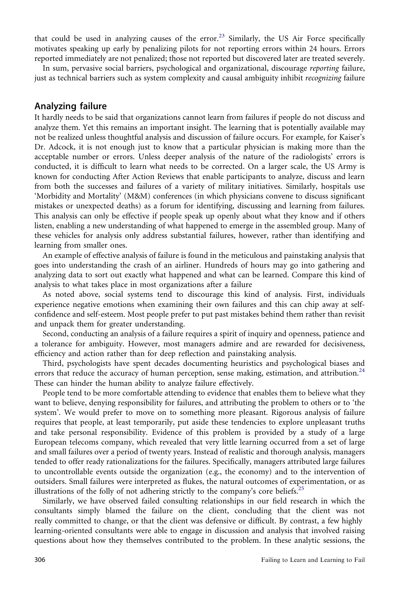that could be used in analyzing causes of the error.<sup>[23](#page-19-0)</sup> Similarly, the US Air Force specifically motivates speaking up early by penalizing pilots for not reporting errors within 24 hours. Errors reported immediately are not penalized; those not reported but discovered later are treated severely.

In sum, pervasive social barriers, psychological and organizational, discourage reporting failure, just as technical barriers such as system complexity and causal ambiguity inhibit recognizing failure

# Analyzing failure

It hardly needs to be said that organizations cannot learn from failures if people do not discuss and analyze them. Yet this remains an important insight. The learning that is potentially available may not be realized unless thoughtful analysis and discussion of failure occurs. For example, for Kaiser's Dr. Adcock, it is not enough just to know that a particular physician is making more than the acceptable number or errors. Unless deeper analysis of the nature of the radiologists' errors is conducted, it is difficult to learn what needs to be corrected. On a larger scale, the US Army is known for conducting After Action Reviews that enable participants to analyze, discuss and learn from both the successes and failures of a variety of military initiatives. Similarly, hospitals use 'Morbidity and Mortality' (M&M) conferences (in which physicians convene to discuss significant mistakes or unexpected deaths) as a forum for identifying, discussing and learning from failures. This analysis can only be effective if people speak up openly about what they know and if others listen, enabling a new understanding of what happened to emerge in the assembled group. Many of these vehicles for analysis only address substantial failures, however, rather than identifying and learning from smaller ones.

An example of effective analysis of failure is found in the meticulous and painstaking analysis that goes into understanding the crash of an airliner. Hundreds of hours may go into gathering and analyzing data to sort out exactly what happened and what can be learned. Compare this kind of analysis to what takes place in most organizations after a failure

As noted above, social systems tend to discourage this kind of analysis. First, individuals experience negative emotions when examining their own failures and this can chip away at selfconfidence and self-esteem. Most people prefer to put past mistakes behind them rather than revisit and unpack them for greater understanding.

Second, conducting an analysis of a failure requires a spirit of inquiry and openness, patience and a tolerance for ambiguity. However, most managers admire and are rewarded for decisiveness, efficiency and action rather than for deep reflection and painstaking analysis.

Third, psychologists have spent decades documenting heuristics and psychological biases and errors that reduce the accuracy of human perception, sense making, estimation, and attribution.<sup>[24](#page-19-0)</sup> These can hinder the human ability to analyze failure effectively.

People tend to be more comfortable attending to evidence that enables them to believe what they want to believe, denying responsibility for failures, and attributing the problem to others or to 'the system'. We would prefer to move on to something more pleasant. Rigorous analysis of failure requires that people, at least temporarily, put aside these tendencies to explore unpleasant truths and take personal responsibility. Evidence of this problem is provided by a study of a large European telecoms company, which revealed that very little learning occurred from a set of large and small failures over a period of twenty years. Instead of realistic and thorough analysis, managers tended to offer ready rationalizations for the failures. Specifically, managers attributed large failures to uncontrollable events outside the organization (e.g., the economy) and to the intervention of outsiders. Small failures were interpreted as flukes, the natural outcomes of experimentation, or as illustrations of the folly of not adhering strictly to the company's core beliefs.<sup>[25](#page-19-0)</sup>

Similarly, we have observed failed consulting relationships in our field research in which the consultants simply blamed the failure on the client, concluding that the client was not really committed to change, or that the client was defensive or difficult. By contrast, a few highly learning-oriented consultants were able to engage in discussion and analysis that involved raising questions about how they themselves contributed to the problem. In these analytic sessions, the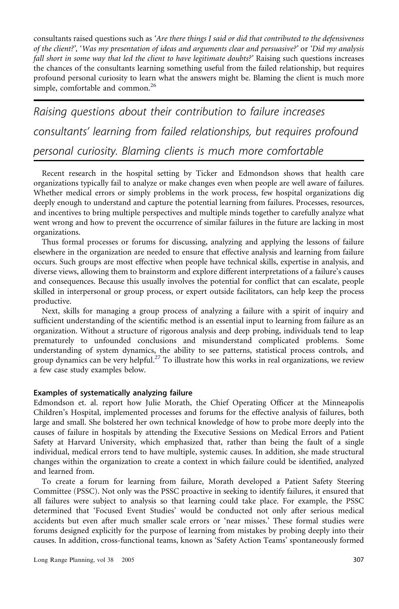consultants raised questions such as 'Are there things I said or did that contributed to the defensiveness of the client?', 'Was my presentation of ideas and arguments clear and persuasive?' or 'Did my analysis fall short in some way that led the client to have legitimate doubts?' Raising such questions increases the chances of the consultants learning something useful from the failed relationship, but requires profound personal curiosity to learn what the answers might be. Blaming the client is much more simple, comfortable and common.<sup>[26](#page-19-0)</sup>

# Raising questions about their contribution to failure increases consultants' learning from failed relationships, but requires profound personal curiosity. Blaming clients is much more comfortable

Recent research in the hospital setting by Ticker and Edmondson shows that health care organizations typically fail to analyze or make changes even when people are well aware of failures. Whether medical errors or simply problems in the work process, few hospital organizations dig deeply enough to understand and capture the potential learning from failures. Processes, resources, and incentives to bring multiple perspectives and multiple minds together to carefully analyze what went wrong and how to prevent the occurrence of similar failures in the future are lacking in most organizations.

Thus formal processes or forums for discussing, analyzing and applying the lessons of failure elsewhere in the organization are needed to ensure that effective analysis and learning from failure occurs. Such groups are most effective when people have technical skills, expertise in analysis, and diverse views, allowing them to brainstorm and explore different interpretations of a failure's causes and consequences. Because this usually involves the potential for conflict that can escalate, people skilled in interpersonal or group process, or expert outside facilitators, can help keep the process productive.

Next, skills for managing a group process of analyzing a failure with a spirit of inquiry and sufficient understanding of the scientific method is an essential input to learning from failure as an organization. Without a structure of rigorous analysis and deep probing, individuals tend to leap prematurely to unfounded conclusions and misunderstand complicated problems. Some understanding of system dynamics, the ability to see patterns, statistical process controls, and group dynamics can be very helpful.<sup>[27](#page-19-0)</sup> To illustrate how this works in real organizations, we review a few case study examples below.

#### Examples of systematically analyzing failure

Edmondson et. al. report how Julie Morath, the Chief Operating Officer at the Minneapolis Children's Hospital, implemented processes and forums for the effective analysis of failures, both large and small. She bolstered her own technical knowledge of how to probe more deeply into the causes of failure in hospitals by attending the Executive Sessions on Medical Errors and Patient Safety at Harvard University, which emphasized that, rather than being the fault of a single individual, medical errors tend to have multiple, systemic causes. In addition, she made structural changes within the organization to create a context in which failure could be identified, analyzed and learned from.

To create a forum for learning from failure, Morath developed a Patient Safety Steering Committee (PSSC). Not only was the PSSC proactive in seeking to identify failures, it ensured that all failures were subject to analysis so that learning could take place. For example, the PSSC determined that 'Focused Event Studies' would be conducted not only after serious medical accidents but even after much smaller scale errors or 'near misses.' These formal studies were forums designed explicitly for the purpose of learning from mistakes by probing deeply into their causes. In addition, cross-functional teams, known as 'Safety Action Teams' spontaneously formed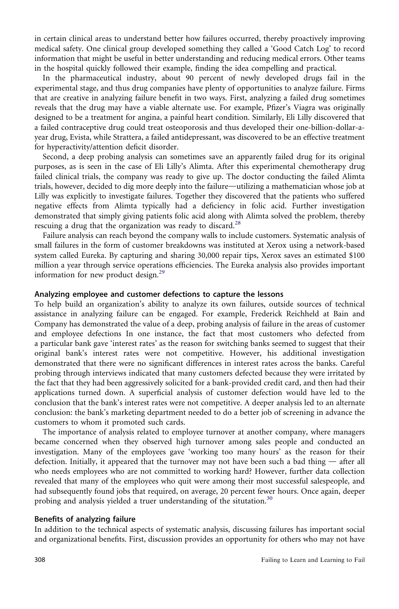in certain clinical areas to understand better how failures occurred, thereby proactively improving medical safety. One clinical group developed something they called a 'Good Catch Log' to record information that might be useful in better understanding and reducing medical errors. Other teams in the hospital quickly followed their example, finding the idea compelling and practical.

In the pharmaceutical industry, about 90 percent of newly developed drugs fail in the experimental stage, and thus drug companies have plenty of opportunities to analyze failure. Firms that are creative in analyzing failure benefit in two ways. First, analyzing a failed drug sometimes reveals that the drug may have a viable alternate use. For example, Pfizer's Viagra was originally designed to be a treatment for angina, a painful heart condition. Similarly, Eli Lilly discovered that a failed contraceptive drug could treat osteoporosis and thus developed their one-billion-dollar-ayear drug, Evista, while Strattera, a failed antidepressant, was discovered to be an effective treatment for hyperactivity/attention deficit disorder.

Second, a deep probing analysis can sometimes save an apparently failed drug for its original purposes, as is seen in the case of Eli Lilly's Alimta. After this experimental chemotherapy drug failed clinical trials, the company was ready to give up. The doctor conducting the failed Alimta trials, however, decided to dig more deeply into the failure—utilizing a mathematician whose job at Lilly was explicitly to investigate failures. Together they discovered that the patients who suffered negative effects from Alimta typically had a deficiency in folic acid. Further investigation demonstrated that simply giving patients folic acid along with Alimta solved the problem, thereby rescuing a drug that the organization was ready to discard.<sup>28</sup>

Failure analysis can reach beyond the company walls to include customers. Systematic analysis of small failures in the form of customer breakdowns was instituted at Xerox using a network-based system called Eureka. By capturing and sharing 30,000 repair tips, Xerox saves an estimated \$100 million a year through service operations efficiencies. The Eureka analysis also provides important information for new product design. $29$ 

#### Analyzing employee and customer defections to capture the lessons

To help build an organization's ability to analyze its own failures, outside sources of technical assistance in analyzing failure can be engaged. For example, Frederick Reichheld at Bain and Company has demonstrated the value of a deep, probing analysis of failure in the areas of customer and employee defections In one instance, the fact that most customers who defected from a particular bank gave 'interest rates' as the reason for switching banks seemed to suggest that their original bank's interest rates were not competitive. However, his additional investigation demonstrated that there were no significant differences in interest rates across the banks. Careful probing through interviews indicated that many customers defected because they were irritated by the fact that they had been aggressively solicited for a bank-provided credit card, and then had their applications turned down. A superficial analysis of customer defection would have led to the conclusion that the bank's interest rates were not competitive. A deeper analysis led to an alternate conclusion: the bank's marketing department needed to do a better job of screening in advance the customers to whom it promoted such cards.

The importance of analysis related to employee turnover at another company, where managers became concerned when they observed high turnover among sales people and conducted an investigation. Many of the employees gave 'working too many hours' as the reason for their defection. Initially, it appeared that the turnover may not have been such a bad thing  $-$  after all who needs employees who are not committed to working hard? However, further data collection revealed that many of the employees who quit were among their most successful salespeople, and had subsequently found jobs that required, on average, 20 percent fewer hours. Once again, deeper probing and analysis yielded a truer understanding of the situtation.<sup>[30](#page-20-0)</sup>

#### Benefits of analyzing failure

In addition to the technical aspects of systematic analysis, discussing failures has important social and organizational benefits. First, discussion provides an opportunity for others who may not have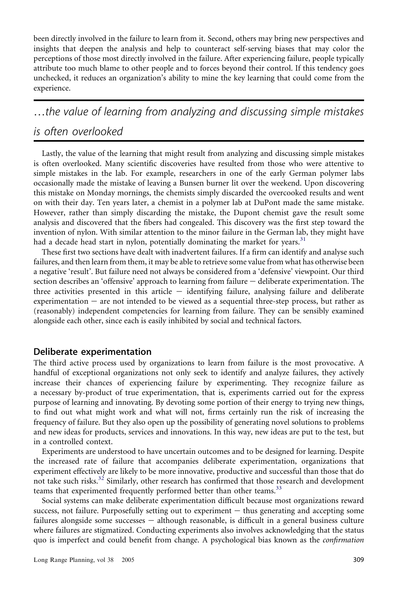been directly involved in the failure to learn from it. Second, others may bring new perspectives and insights that deepen the analysis and help to counteract self-serving biases that may color the perceptions of those most directly involved in the failure. After experiencing failure, people typically attribute too much blame to other people and to forces beyond their control. If this tendency goes unchecked, it reduces an organization's ability to mine the key learning that could come from the experience.

...the value of learning from analyzing and discussing simple mistakes is often overlooked

Lastly, the value of the learning that might result from analyzing and discussing simple mistakes is often overlooked. Many scientific discoveries have resulted from those who were attentive to simple mistakes in the lab. For example, researchers in one of the early German polymer labs occasionally made the mistake of leaving a Bunsen burner lit over the weekend. Upon discovering this mistake on Monday mornings, the chemists simply discarded the overcooked results and went on with their day. Ten years later, a chemist in a polymer lab at DuPont made the same mistake. However, rather than simply discarding the mistake, the Dupont chemist gave the result some analysis and discovered that the fibers had congealed. This discovery was the first step toward the invention of nylon. With similar attention to the minor failure in the German lab, they might have had a decade head start in nylon, potentially dominating the market for years. $31$ 

These first two sections have dealt with inadvertent failures. If a firm can identify and analyse such failures, and then learn from them, it may be able to retrieve some value from what has otherwise been a negative 'result'. But failure need not always be considered from a 'defensive' viewpoint. Our third section describes an 'offensive' approach to learning from failure  $-$  deliberate experimentation. The three activities presented in this article  $-$  identifying failure, analysing failure and deliberate experimentation  $-$  are not intended to be viewed as a sequential three-step process, but rather as (reasonably) independent competencies for learning from failure. They can be sensibly examined alongside each other, since each is easily inhibited by social and technical factors.

#### Deliberate experimentation

The third active process used by organizations to learn from failure is the most provocative. A handful of exceptional organizations not only seek to identify and analyze failures, they actively increase their chances of experiencing failure by experimenting. They recognize failure as a necessary by-product of true experimentation, that is, experiments carried out for the express purpose of learning and innovating. By devoting some portion of their energy to trying new things, to find out what might work and what will not, firms certainly run the risk of increasing the frequency of failure. But they also open up the possibility of generating novel solutions to problems and new ideas for products, services and innovations. In this way, new ideas are put to the test, but in a controlled context.

Experiments are understood to have uncertain outcomes and to be designed for learning. Despite the increased rate of failure that accompanies deliberate experimentation, organizations that experiment effectively are likely to be more innovative, productive and successful than those that do not take such risks.<sup>[32](#page-20-0)</sup> Similarly, other research has confirmed that those research and development teams that experimented frequently performed better than other teams.<sup>33</sup>

Social systems can make deliberate experimentation difficult because most organizations reward success, not failure. Purposefully setting out to experiment  $-$  thus generating and accepting some failures alongside some successes  $-$  although reasonable, is difficult in a general business culture where failures are stigmatized. Conducting experiments also involves acknowledging that the status quo is imperfect and could benefit from change. A psychological bias known as the confirmation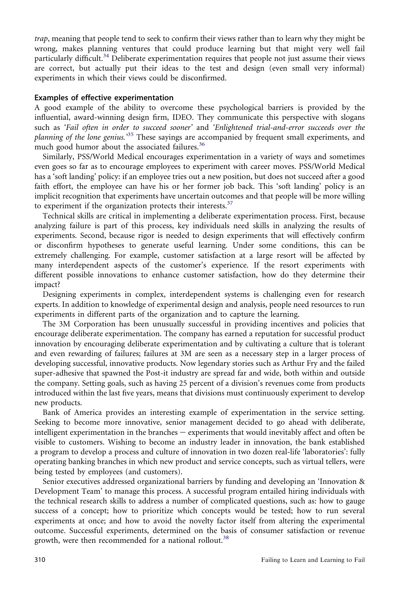trap, meaning that people tend to seek to confirm their views rather than to learn why they might be wrong, makes planning ventures that could produce learning but that might very well fail particularly difficult.<sup>[34](#page-20-0)</sup> Deliberate experimentation requires that people not just assume their views are correct, but actually put their ideas to the test and design (even small very informal) experiments in which their views could be disconfirmed.

#### Examples of effective experimentation

A good example of the ability to overcome these psychological barriers is provided by the influential, award-winning design firm, IDEO. They communicate this perspective with slogans such as 'Fail often in order to succeed sooner' and 'Enlightened trial-and-error succeeds over the planning of the lone genius.<sup>[35](#page-20-0)</sup> These sayings are accompanied by frequent small experiments, and much good humor about the associated failures.<sup>[36](#page-20-0)</sup>

Similarly, PSS/World Medical encourages experimentation in a variety of ways and sometimes even goes so far as to encourage employees to experiment with career moves. PSS/World Medical has a 'soft landing' policy: if an employee tries out a new position, but does not succeed after a good faith effort, the employee can have his or her former job back. This 'soft landing' policy is an implicit recognition that experiments have uncertain outcomes and that people will be more willing to experiment if the organization protects their interests. $37$ 

Technical skills are critical in implementing a deliberate experimentation process. First, because analyzing failure is part of this process, key individuals need skills in analyzing the results of experiments. Second, because rigor is needed to design experiments that will effectively confirm or disconfirm hypotheses to generate useful learning. Under some conditions, this can be extremely challenging. For example, customer satisfaction at a large resort will be affected by many interdependent aspects of the customer's experience. If the resort experiments with different possible innovations to enhance customer satisfaction, how do they determine their impact?

Designing experiments in complex, interdependent systems is challenging even for research experts. In addition to knowledge of experimental design and analysis, people need resources to run experiments in different parts of the organization and to capture the learning.

The 3M Corporation has been unusually successful in providing incentives and policies that encourage deliberate experimentation. The company has earned a reputation for successful product innovation by encouraging deliberate experimentation and by cultivating a culture that is tolerant and even rewarding of failures; failures at 3M are seen as a necessary step in a larger process of developing successful, innovative products. Now legendary stories such as Arthur Fry and the failed super-adhesive that spawned the Post-it industry are spread far and wide, both within and outside the company. Setting goals, such as having 25 percent of a division's revenues come from products introduced within the last five years, means that divisions must continuously experiment to develop new products.

Bank of America provides an interesting example of experimentation in the service setting. Seeking to become more innovative, senior management decided to go ahead with deliberate, intelligent experimentation in the branches  $-$  experiments that would inevitably affect and often be visible to customers. Wishing to become an industry leader in innovation, the bank established a program to develop a process and culture of innovation in two dozen real-life 'laboratories': fully operating banking branches in which new product and service concepts, such as virtual tellers, were being tested by employees (and customers).

Senior executives addressed organizational barriers by funding and developing an 'Innovation & Development Team' to manage this process. A successful program entailed hiring individuals with the technical research skills to address a number of complicated questions, such as: how to gauge success of a concept; how to prioritize which concepts would be tested; how to run several experiments at once; and how to avoid the novelty factor itself from altering the experimental outcome. Successful experiments, determined on the basis of consumer satisfaction or revenue growth, were then recommended for a national rollout.<sup>[38](#page-20-0)</sup>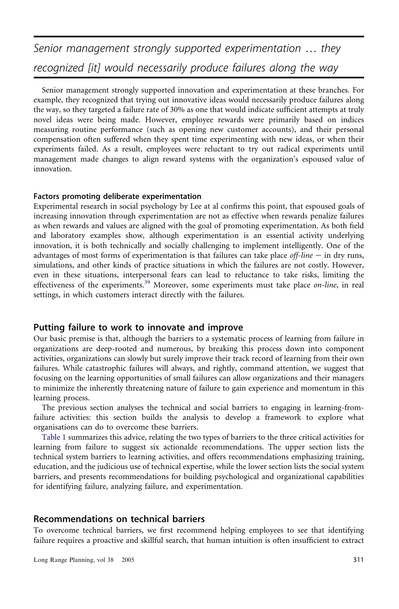Senior management strongly supported experimentation ... they recognized [it] would necessarily produce failures along the way

Senior management strongly supported innovation and experimentation at these branches. For example, they recognized that trying out innovative ideas would necessarily produce failures along the way, so they targeted a failure rate of 30% as one that would indicate sufficient attempts at truly novel ideas were being made. However, employee rewards were primarily based on indices measuring routine performance (such as opening new customer accounts), and their personal compensation often suffered when they spent time experimenting with new ideas, or when their experiments failed. As a result, employees were reluctant to try out radical experiments until management made changes to align reward systems with the organization's espoused value of innovation.

#### Factors promoting deliberate experimentation

Experimental research in social psychology by Lee at al confirms this point, that espoused goals of increasing innovation through experimentation are not as effective when rewards penalize failures as when rewards and values are aligned with the goal of promoting experimentation. As both field and laboratory examples show, although experimentation is an essential activity underlying innovation, it is both technically and socially challenging to implement intelligently. One of the advantages of most forms of experimentation is that failures can take place off-line  $-$  in dry runs, simulations, and other kinds of practice situations in which the failures are not costly. However, even in these situations, interpersonal fears can lead to reluctance to take risks, limiting the effectiveness of the experiments.<sup>[39](#page-20-0)</sup> Moreover, some experiments must take place on-line, in real settings, in which customers interact directly with the failures.

#### Putting failure to work to innovate and improve

Our basic premise is that, although the barriers to a systematic process of learning from failure in organizations are deep-rooted and numerous, by breaking this process down into component activities, organizations can slowly but surely improve their track record of learning from their own failures. While catastrophic failures will always, and rightly, command attention, we suggest that focusing on the learning opportunities of small failures can allow organizations and their managers to minimize the inherently threatening nature of failure to gain experience and momentum in this learning process.

The previous section analyses the technical and social barriers to engaging in learning-fromfailure activities: this section builds the analysis to develop a framework to explore what organisations can do to overcome these barriers.

[Table 1](#page-13-0) summarizes this advice, relating the two types of barriers to the three critical activities for learning from failure to suggest six actionalde recommendations. The upper section lists the technical system barriers to learning activities, and offers recommendations emphasizing training, education, and the judicious use of technical expertise, while the lower section lists the social system barriers, and presents recommendations for building psychological and organizational capabilities for identifying failure, analyzing failure, and experimentation.

#### Recommendations on technical barriers

To overcome technical barriers, we first recommend helping employees to see that identifying failure requires a proactive and skillful search, that human intuition is often insufficient to extract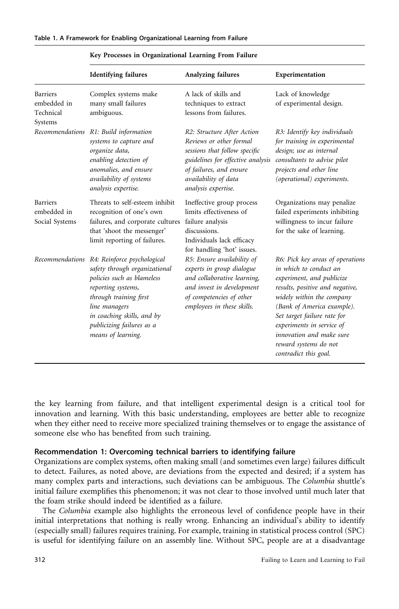<span id="page-13-0"></span>

|                                                        | <b>Identifying failures</b>                                                                                                                                                                                                                                  | Analyzing failures                                                                                                                                                                                    | Experimentation                                                                                                                                                                                                                                                                                                                 |
|--------------------------------------------------------|--------------------------------------------------------------------------------------------------------------------------------------------------------------------------------------------------------------------------------------------------------------|-------------------------------------------------------------------------------------------------------------------------------------------------------------------------------------------------------|---------------------------------------------------------------------------------------------------------------------------------------------------------------------------------------------------------------------------------------------------------------------------------------------------------------------------------|
| <b>Barriers</b><br>embedded in<br>Technical<br>Systems | Complex systems make<br>many small failures<br>ambiguous.                                                                                                                                                                                                    | A lack of skills and<br>techniques to extract<br>lessons from failures.                                                                                                                               | Lack of knowledge<br>of experimental design.                                                                                                                                                                                                                                                                                    |
|                                                        | Recommendations R1: Build information<br>systems to capture and<br>organize data,<br>enabling detection of<br>anomalies, and ensure<br><i>availability of systems</i><br>analysis expertise.                                                                 | R2: Structure After Action<br>Reviews or other formal<br>sessions that follow specific<br>guidelines for effective analysis<br>of failures, and ensure<br>availability of data<br>analysis expertise. | R3: Identify key individuals<br>for training in experimental<br>design; use as internal<br>consultants to advise pilot<br>projects and other line<br>(operational) experiments.                                                                                                                                                 |
| <b>Barriers</b><br>embedded in<br>Social Systems       | Threats to self-esteem inhibit<br>recognition of one's own<br>failures, and corporate cultures<br>that 'shoot the messenger'<br>limit reporting of failures.                                                                                                 | Ineffective group process<br>limits effectiveness of<br>failure analysis<br>discussions.<br>Individuals lack efficacy<br>for handling 'hot' issues.                                                   | Organizations may penalize<br>failed experiments inhibiting<br>willingness to incur failure<br>for the sake of learning.                                                                                                                                                                                                        |
|                                                        | Recommendations R4: Reinforce psychological<br>safety through organizational<br>policies such as blameless<br>reporting systems,<br>through training first<br>line managers<br>in coaching skills, and by<br>publicizing failures as a<br>means of learning. | R5: Ensure availability of<br>experts in group dialogue<br>and collaborative learning,<br>and invest in development<br>of competencies of other<br>employees in these skills.                         | R6: Pick key areas of operations<br>in which to conduct an<br>experiment, and publicize<br>results, positive and negative,<br>widely within the company<br>(Bank of America example).<br>Set target failure rate for<br>experiments in service of<br>innovation and make sure<br>reward systems do not<br>contradict this goal. |

Key Processes in Organizational Learning From Failure

the key learning from failure, and that intelligent experimental design is a critical tool for innovation and learning. With this basic understanding, employees are better able to recognize when they either need to receive more specialized training themselves or to engage the assistance of someone else who has benefited from such training.

#### Recommendation 1: Overcoming technical barriers to identifying failure

Organizations are complex systems, often making small (and sometimes even large) failures difficult to detect. Failures, as noted above, are deviations from the expected and desired; if a system has many complex parts and interactions, such deviations can be ambiguous. The Columbia shuttle's initial failure exemplifies this phenomenon; it was not clear to those involved until much later that the foam strike should indeed be identified as a failure.

The Columbia example also highlights the erroneous level of confidence people have in their initial interpretations that nothing is really wrong. Enhancing an individual's ability to identify (especially small) failures requires training. For example, training in statistical process control (SPC) is useful for identifying failure on an assembly line. Without SPC, people are at a disadvantage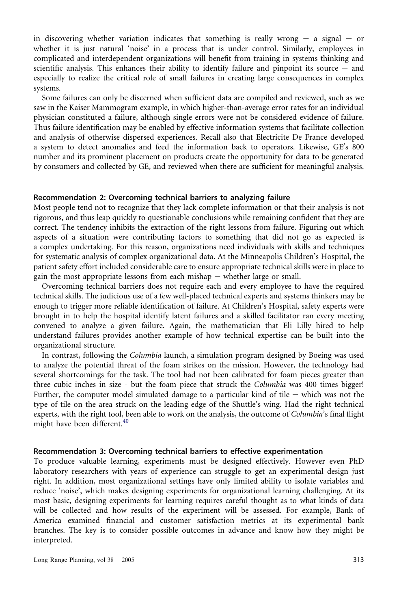in discovering whether variation indicates that something is really wrong  $-$  a signal  $-$  or whether it is just natural 'noise' in a process that is under control. Similarly, employees in complicated and interdependent organizations will benefit from training in systems thinking and scientific analysis. This enhances their ability to identify failure and pinpoint its source  $-$  and especially to realize the critical role of small failures in creating large consequences in complex systems.

Some failures can only be discerned when sufficient data are compiled and reviewed, such as we saw in the Kaiser Mammogram example, in which higher-than-average error rates for an individual physician constituted a failure, although single errors were not be considered evidence of failure. Thus failure identification may be enabled by effective information systems that facilitate collection and analysis of otherwise dispersed experiences. Recall also that Electricite De France developed a system to detect anomalies and feed the information back to operators. Likewise, GE's 800 number and its prominent placement on products create the opportunity for data to be generated by consumers and collected by GE, and reviewed when there are sufficient for meaningful analysis.

#### Recommendation 2: Overcoming technical barriers to analyzing failure

Most people tend not to recognize that they lack complete information or that their analysis is not rigorous, and thus leap quickly to questionable conclusions while remaining confident that they are correct. The tendency inhibits the extraction of the right lessons from failure. Figuring out which aspects of a situation were contributing factors to something that did not go as expected is a complex undertaking. For this reason, organizations need individuals with skills and techniques for systematic analysis of complex organizational data. At the Minneapolis Children's Hospital, the patient safety effort included considerable care to ensure appropriate technical skills were in place to gain the most appropriate lessons from each mishap  $-$  whether large or small.

Overcoming technical barriers does not require each and every employee to have the required technical skills. The judicious use of a few well-placed technical experts and systems thinkers may be enough to trigger more reliable identification of failure. At Children's Hospital, safety experts were brought in to help the hospital identify latent failures and a skilled facilitator ran every meeting convened to analyze a given failure. Again, the mathematician that Eli Lilly hired to help understand failures provides another example of how technical expertise can be built into the organizational structure.

In contrast, following the Columbia launch, a simulation program designed by Boeing was used to analyze the potential threat of the foam strikes on the mission. However, the technology had several shortcomings for the task. The tool had not been calibrated for foam pieces greater than three cubic inches in size - but the foam piece that struck the Columbia was 400 times bigger! Further, the computer model simulated damage to a particular kind of tile  $-$  which was not the type of tile on the area struck on the leading edge of the Shuttle's wing. Had the right technical experts, with the right tool, been able to work on the analysis, the outcome of Columbia's final flight might have been different.<sup>[40](#page-20-0)</sup>

#### Recommendation 3: Overcoming technical barriers to effective experimentation

To produce valuable learning, experiments must be designed effectively. However even PhD laboratory researchers with years of experience can struggle to get an experimental design just right. In addition, most organizational settings have only limited ability to isolate variables and reduce 'noise', which makes designing experiments for organizational learning challenging. At its most basic, designing experiments for learning requires careful thought as to what kinds of data will be collected and how results of the experiment will be assessed. For example, Bank of America examined financial and customer satisfaction metrics at its experimental bank branches. The key is to consider possible outcomes in advance and know how they might be interpreted.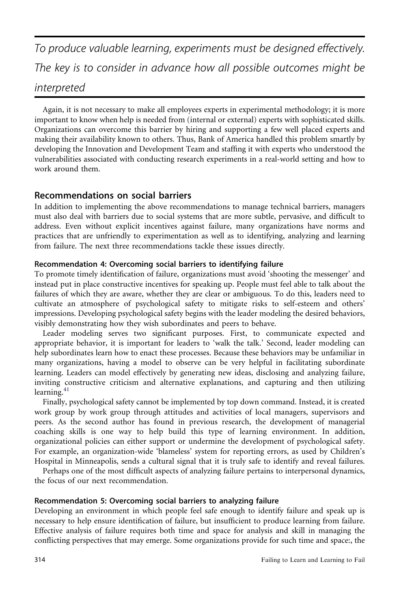# To produce valuable learning, experiments must be designed effectively. The key is to consider in advance how all possible outcomes might be interpreted

Again, it is not necessary to make all employees experts in experimental methodology; it is more important to know when help is needed from (internal or external) experts with sophisticated skills. Organizations can overcome this barrier by hiring and supporting a few well placed experts and making their availability known to others. Thus, Bank of America handled this problem smartly by developing the Innovation and Development Team and staffing it with experts who understood the vulnerabilities associated with conducting research experiments in a real-world setting and how to work around them.

# Recommendations on social barriers

In addition to implementing the above recommendations to manage technical barriers, managers must also deal with barriers due to social systems that are more subtle, pervasive, and difficult to address. Even without explicit incentives against failure, many organizations have norms and practices that are unfriendly to experimentation as well as to identifying, analyzing and learning from failure. The next three recommendations tackle these issues directly.

### Recommendation 4: Overcoming social barriers to identifying failure

To promote timely identification of failure, organizations must avoid 'shooting the messenger' and instead put in place constructive incentives for speaking up. People must feel able to talk about the failures of which they are aware, whether they are clear or ambiguous. To do this, leaders need to cultivate an atmosphere of psychological safety to mitigate risks to self-esteem and others' impressions. Developing psychological safety begins with the leader modeling the desired behaviors, visibly demonstrating how they wish subordinates and peers to behave.

Leader modeling serves two significant purposes. First, to communicate expected and appropriate behavior, it is important for leaders to 'walk the talk.' Second, leader modeling can help subordinates learn how to enact these processes. Because these behaviors may be unfamiliar in many organizations, having a model to observe can be very helpful in facilitating subordinate learning. Leaders can model effectively by generating new ideas, disclosing and analyzing failure, inviting constructive criticism and alternative explanations, and capturing and then utilizing learning. $41$ 

Finally, psychological safety cannot be implemented by top down command. Instead, it is created work group by work group through attitudes and activities of local managers, supervisors and peers. As the second author has found in previous research, the development of managerial coaching skills is one way to help build this type of learning environment. In addition, organizational policies can either support or undermine the development of psychological safety. For example, an organization-wide 'blameless' system for reporting errors, as used by Children's Hospital in Minneapolis, sends a cultural signal that it is truly safe to identify and reveal failures.

Perhaps one of the most difficult aspects of analyzing failure pertains to interpersonal dynamics, the focus of our next recommendation.

### Recommendation 5: Overcoming social barriers to analyzing failure

Developing an environment in which people feel safe enough to identify failure and speak up is necessary to help ensure identification of failure, but insufficient to produce learning from failure. Effective analysis of failure requires both time and space for analysis and skill in managing the conflicting perspectives that may emerge. Some organizations provide for such time and space:, the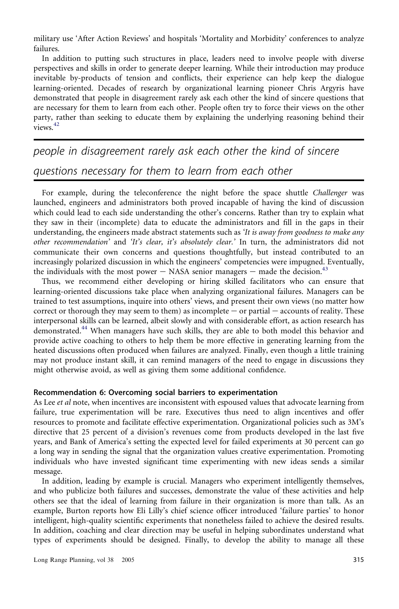military use 'After Action Reviews' and hospitals 'Mortality and Morbidity' conferences to analyze failures.

In addition to putting such structures in place, leaders need to involve people with diverse perspectives and skills in order to generate deeper learning. While their introduction may produce inevitable by-products of tension and conflicts, their experience can help keep the dialogue learning-oriented. Decades of research by organizational learning pioneer Chris Argyris have demonstrated that people in disagreement rarely ask each other the kind of sincere questions that are necessary for them to learn from each other. People often try to force their views on the other party, rather than seeking to educate them by explaining the underlying reasoning behind their views.<sup>[42](#page-20-0)</sup>

# people in disagreement rarely ask each other the kind of sincere questions necessary for them to learn from each other

For example, during the teleconference the night before the space shuttle Challenger was launched, engineers and administrators both proved incapable of having the kind of discussion which could lead to each side understanding the other's concerns. Rather than try to explain what they saw in their (incomplete) data to educate the administrators and fill in the gaps in their understanding, the engineers made abstract statements such as 'It is away from goodness to make any other recommendation' and 'It's clear, it's absolutely clear.' In turn, the administrators did not communicate their own concerns and questions thoughtfully, but instead contributed to an increasingly polarized discussion in which the engineers' competencies were impugned. Eventually, the individuals with the most power  $-$  NASA senior managers  $-$  made the decision.<sup>[43](#page-20-0)</sup>

Thus, we recommend either developing or hiring skilled facilitators who can ensure that learning-oriented discussions take place when analyzing organizational failures. Managers can be trained to test assumptions, inquire into others' views, and present their own views (no matter how correct or thorough they may seem to them) as incomplete  $-$  or partial  $-$  accounts of reality. These interpersonal skills can be learned, albeit slowly and with considerable effort, as action research has demonstrated.<sup>44</sup> When managers have such skills, they are able to both model this behavior and provide active coaching to others to help them be more effective in generating learning from the heated discussions often produced when failures are analyzed. Finally, even though a little training may not produce instant skill, it can remind managers of the need to engage in discussions they might otherwise avoid, as well as giving them some additional confidence.

#### Recommendation 6: Overcoming social barriers to experimentation

As Lee et al note, when incentives are inconsistent with espoused values that advocate learning from failure, true experimentation will be rare. Executives thus need to align incentives and offer resources to promote and facilitate effective experimentation. Organizational policies such as 3M's directive that 25 percent of a division's revenues come from products developed in the last five years, and Bank of America's setting the expected level for failed experiments at 30 percent can go a long way in sending the signal that the organization values creative experimentation. Promoting individuals who have invested significant time experimenting with new ideas sends a similar message.

In addition, leading by example is crucial. Managers who experiment intelligently themselves, and who publicize both failures and successes, demonstrate the value of these activities and help others see that the ideal of learning from failure in their organization is more than talk. As an example, Burton reports how Eli Lilly's chief science officer introduced 'failure parties' to honor intelligent, high-quality scientific experiments that nonetheless failed to achieve the desired results. In addition, coaching and clear direction may be useful in helping subordinates understand what types of experiments should be designed. Finally, to develop the ability to manage all these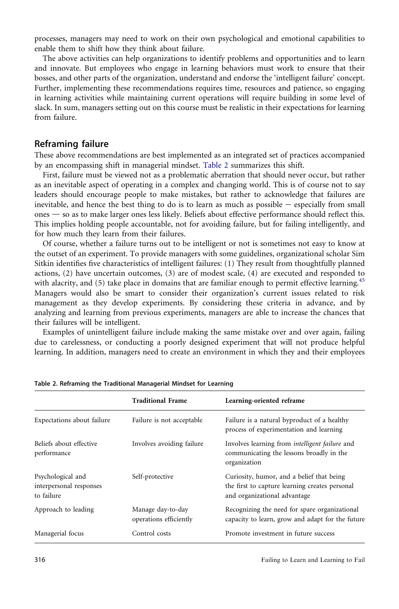processes, managers may need to work on their own psychological and emotional capabilities to enable them to shift how they think about failure.

The above activities can help organizations to identify problems and opportunities and to learn and innovate. But employees who engage in learning behaviors must work to ensure that their bosses, and other parts of the organization, understand and endorse the 'intelligent failure' concept. Further, implementing these recommendations requires time, resources and patience, so engaging in learning activities while maintaining current operations will require building in some level of slack. In sum, managers setting out on this course must be realistic in their expectations for learning from failure.

# Reframing failure

These above recommendations are best implemented as an integrated set of practices accompanied by an encompassing shift in managerial mindset. Table 2 summarizes this shift.

First, failure must be viewed not as a problematic aberration that should never occur, but rather as an inevitable aspect of operating in a complex and changing world. This is of course not to say leaders should encourage people to make mistakes, but rather to acknowledge that failures are inevitable, and hence the best thing to do is to learn as much as possible  $-$  especially from small ones - so as to make larger ones less likely. Beliefs about effective performance should reflect this. This implies holding people accountable, not for avoiding failure, but for failing intelligently, and for how much they learn from their failures.

Of course, whether a failure turns out to be intelligent or not is sometimes not easy to know at the outset of an experiment. To provide managers with some guidelines, organizational scholar Sim Sitkin identifies five characteristics of intelligent failures: (1) They result from thoughtfully planned actions, (2) have uncertain outcomes, (3) are of modest scale, (4) are executed and responded to with alacrity, and  $(5)$  take place in domains that are familiar enough to permit effective learning.<sup>[45](#page-20-0)</sup> Managers would also be smart to consider their organization's current issues related to risk management as they develop experiments. By considering these criteria in advance, and by analyzing and learning from previous experiments, managers are able to increase the chances that their failures will be intelligent.

Examples of unintelligent failure include making the same mistake over and over again, failing due to carelessness, or conducting a poorly designed experiment that will not produce helpful learning. In addition, managers need to create an environment in which they and their employees

|                                                            | <b>Traditional Frame</b>                    | Learning-oriented reframe                                                                                                   |
|------------------------------------------------------------|---------------------------------------------|-----------------------------------------------------------------------------------------------------------------------------|
| Expectations about failure                                 | Failure is not acceptable                   | Failure is a natural byproduct of a healthy<br>process of experimentation and learning                                      |
| Beliefs about effective<br>performance                     | Involves avoiding failure                   | Involves learning from <i>intelligent</i> failure and<br>communicating the lessons broadly in the<br>organization           |
| Psychological and<br>interpersonal responses<br>to failure | Self-protective                             | Curiosity, humor, and a belief that being<br>the first to capture learning creates personal<br>and organizational advantage |
| Approach to leading                                        | Manage day-to-day<br>operations efficiently | Recognizing the need for spare organizational<br>capacity to learn, grow and adapt for the future                           |
| Managerial focus                                           | Control costs                               | Promote investment in future success                                                                                        |

Table 2. Reframing the Traditional Managerial Mindset for Learning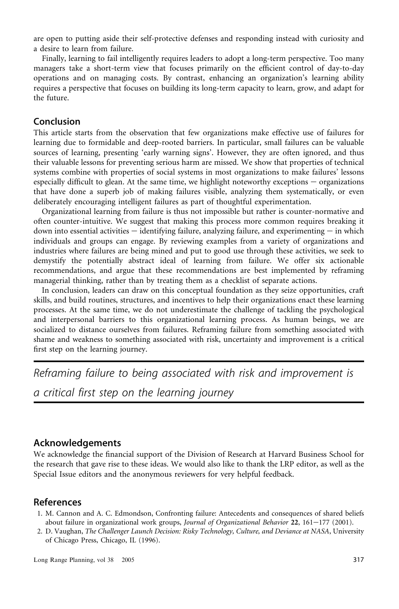<span id="page-18-0"></span>are open to putting aside their self-protective defenses and responding instead with curiosity and a desire to learn from failure.

Finally, learning to fail intelligently requires leaders to adopt a long-term perspective. Too many managers take a short-term view that focuses primarily on the efficient control of day-to-day operations and on managing costs. By contrast, enhancing an organization's learning ability requires a perspective that focuses on building its long-term capacity to learn, grow, and adapt for the future.

# Conclusion

This article starts from the observation that few organizations make effective use of failures for learning due to formidable and deep-rooted barriers. In particular, small failures can be valuable sources of learning, presenting 'early warning signs'. However, they are often ignored, and thus their valuable lessons for preventing serious harm are missed. We show that properties of technical systems combine with properties of social systems in most organizations to make failures' lessons especially difficult to glean. At the same time, we highlight noteworthy exceptions  $-$  organizations that have done a superb job of making failures visible, analyzing them systematically, or even deliberately encouraging intelligent failures as part of thoughtful experimentation.

Organizational learning from failure is thus not impossible but rather is counter-normative and often counter-intuitive. We suggest that making this process more common requires breaking it down into essential activities  $-$  identifying failure, analyzing failure, and experimenting  $-$  in which individuals and groups can engage. By reviewing examples from a variety of organizations and industries where failures are being mined and put to good use through these activities, we seek to demystify the potentially abstract ideal of learning from failure. We offer six actionable recommendations, and argue that these recommendations are best implemented by reframing managerial thinking, rather than by treating them as a checklist of separate actions.

In conclusion, leaders can draw on this conceptual foundation as they seize opportunities, craft skills, and build routines, structures, and incentives to help their organizations enact these learning processes. At the same time, we do not underestimate the challenge of tackling the psychological and interpersonal barriers to this organizational learning process. As human beings, we are socialized to distance ourselves from failures. Reframing failure from something associated with shame and weakness to something associated with risk, uncertainty and improvement is a critical first step on the learning journey.

Reframing failure to being associated with risk and improvement is a critical first step on the learning journey

# Acknowledgements

We acknowledge the financial support of the Division of Research at Harvard Business School for the research that gave rise to these ideas. We would also like to thank the LRP editor, as well as the Special Issue editors and the anonymous reviewers for very helpful feedback.

# References

- 1. M. Cannon and A. C. Edmondson, Confronting failure: Antecedents and consequences of shared beliefs about failure in organizational work groups, Journal of Organizational Behavior  $22$ , 161-177 (2001).
- 2. D. Vaughan, The Challenger Launch Decision: Risky Technology, Culture, and Deviance at NASA, University of Chicago Press, Chicago, IL (1996).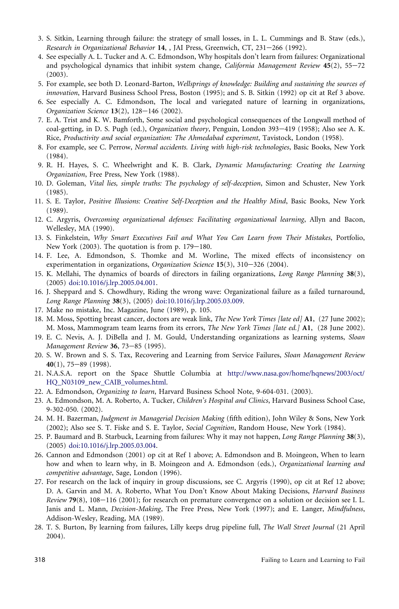- <span id="page-19-0"></span>3. S. Sitkin, Learning through failure: the strategy of small losses, in L. L. Cummings and B. Staw (eds.), Research in Organizational Behavior 14, , JAI Press, Greenwich, CT, 231-266 (1992).
- 4. See especially A. L. Tucker and A. C. Edmondson, Why hospitals don't learn from failures: Organizational and psychological dynamics that inhibit system change, *California Management Review*  $45(2)$ ,  $55-72$ (2003).
- 5. For example, see both D. Leonard-Barton, Wellsprings of knowledge: Building and sustaining the sources of innovation, Harvard Business School Press, Boston (1995); and S. B. Sitkin (1992) op cit at Ref 3 above.
- 6. See especially A. C. Edmondson, The local and variegated nature of learning in organizations, Organization Science  $13(2)$ ,  $128-146$  (2002).
- 7. E. A. Trist and K. W. Bamforth, Some social and psychological consequences of the Longwall method of coal-getting, in D. S. Pugh (ed.), Organization theory, Penguin, London 393-419 (1958); Also see A. K. Rice, Productivity and social organization: The Ahmedabad experiment, Tavistock, London (1958).
- 8. For example, see C. Perrow, Normal accidents. Living with high-risk technologies, Basic Books, New York (1984).
- 9. R. H. Hayes, S. C. Wheelwright and K. B. Clark, Dynamic Manufacturing: Creating the Learning Organization, Free Press, New York (1988).
- 10. D. Goleman, Vital lies, simple truths: The psychology of self-deception, Simon and Schuster, New York (1985).
- 11. S. E. Taylor, Positive Illusions: Creative Self-Deception and the Healthy Mind, Basic Books, New York (1989).
- 12. C. Argyris, Overcoming organizational defenses: Facilitating organizational learning, Allyn and Bacon, Wellesley, MA (1990).
- 13. S. Finkelstein, Why Smart Executives Fail and What You Can Learn from Their Mistakes, Portfolio, New York  $(2003)$ . The quotation is from p. 179–180.
- 14. F. Lee, A. Edmondson, S. Thomke and M. Worline, The mixed effects of inconsistency on experimentation in organizations, Organization Science  $15(3)$ ,  $310-326$  (2004).
- 15. K. Mellahi, The dynamics of boards of directors in failing organizations, Long Range Planning 38(3), (2005) [doi:10.1016/j.lrp.2005.04.001](http://dx.doi.org/10.1016/j.lrp.2005.04.001).
- 16. J. Sheppard and S. Chowdhury, Riding the wrong wave: Organizational failure as a failed turnaround, Long Range Planning 38(3), (2005) [doi:10.1016/j.lrp.2005.03.009](http://dx.doi.org/10.1016/j.lrp.2005.03.009).
- 17. Make no mistake, Inc. Magazine, June (1989), p. 105.
- 18. M. Moss, Spotting breast cancer, doctors are weak link, The New York Times [late ed] A1, (27 June 2002); M. Moss, Mammogram team learns from its errors, *The New York Times [late ed.]* A1, (28 June 2002).
- 19. E. C. Nevis, A. J. DiBella and J. M. Gould, Understanding organizations as learning systems, Sloan Management Review 36, 73-85 (1995).
- 20. S. W. Brown and S. S. Tax, Recovering and Learning from Service Failures, Sloan Management Review 40(1), 75-89 (1998).
- 21. N.A.S.A. report on the Space Shuttle Columbia at [http://www.nasa.gov/home/hqnews/2003/oct/](http://www.nasa.gov/home/hqnews/2003/oct/HQ_N03109_new_CAIB_volumes.html) [HQ\\_N03109\\_new\\_CAIB\\_volumes.html](http://www.nasa.gov/home/hqnews/2003/oct/HQ_N03109_new_CAIB_volumes.html).
- 22. A. Edmondson, Organizing to learn, Harvard Business School Note, 9-604-031. (2003).
- 23. A. Edmondson, M. A. Roberto, A. Tucker, Children's Hospital and Clinics, Harvard Business School Case, 9-302-050. (2002).
- 24. M. H. Bazerman, Judgment in Managerial Decision Making (fifth edition), John Wiley & Sons, New York (2002); Also see S. T. Fiske and S. E. Taylor, Social Cognition, Random House, New York (1984).
- 25. P. Baumard and B. Starbuck, Learning from failures: Why it may not happen, Long Range Planning 38(3), (2005) [doi:10.1016/j.lrp.2005.03.004](http://dx.doi.org/10.1016/j.lrp.2005.03.004).
- 26. Cannon and Edmondson (2001) op cit at Ref 1 above; A. Edmondson and B. Moingeon, When to learn how and when to learn why, in B. Moingeon and A. Edmondson (eds.), Organizational learning and competitive advantage, Sage, London (1996).
- 27. For research on the lack of inquiry in group discussions, see C. Argyris (1990), op cit at Ref 12 above; D. A. Garvin and M. A. Roberto, What You Don't Know About Making Decisions, Harvard Business Review 79(8),  $108-116$  (2001); for research on premature convergence on a solution or decision see I. L. Janis and L. Mann, *Decision-Making*, The Free Press, New York (1997); and E. Langer, Mindfulness, Addison-Wesley, Reading, MA (1989).
- 28. T. S. Burton, By learning from failures, Lilly keeps drug pipeline full, The Wall Street Journal (21 April 2004).